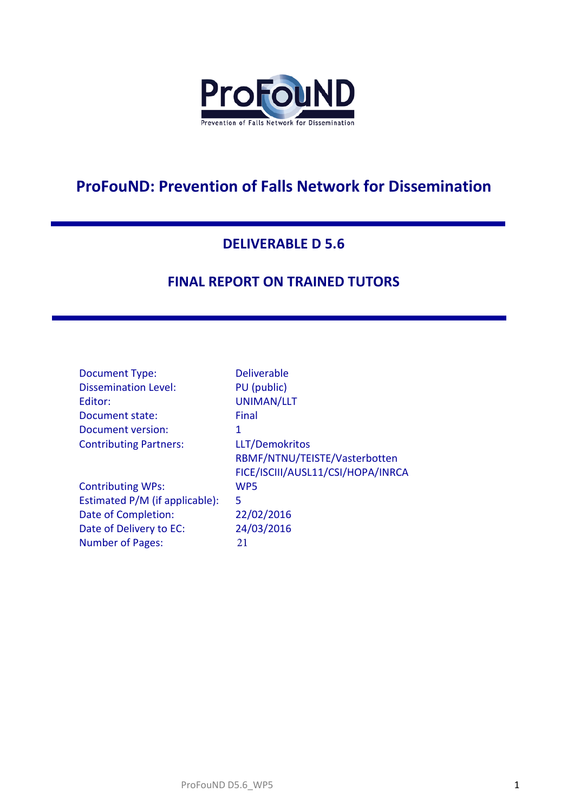

# **ProFouND: Prevention of Falls Network for Dissemination**

## **DELIVERABLE D 5.6**

## **FINAL REPORT ON TRAINED TUTORS**

| <b>Document Type:</b>          | <b>Deliverable</b>                |
|--------------------------------|-----------------------------------|
| <b>Dissemination Level:</b>    | PU (public)                       |
| Editor:                        | UNIMAN/LLT                        |
| Document state:                | Final                             |
| Document version:              | 1                                 |
| <b>Contributing Partners:</b>  | LLT/Demokritos                    |
|                                | RBMF/NTNU/TEISTE/Vasterbotten     |
|                                | FICE/ISCIII/AUSL11/CSI/HOPA/INRCA |
| <b>Contributing WPs:</b>       | WP <sub>5</sub>                   |
| Estimated P/M (if applicable): | 5                                 |
| Date of Completion:            | 22/02/2016                        |
| Date of Delivery to EC:        | 24/03/2016                        |
| <b>Number of Pages:</b>        | 21                                |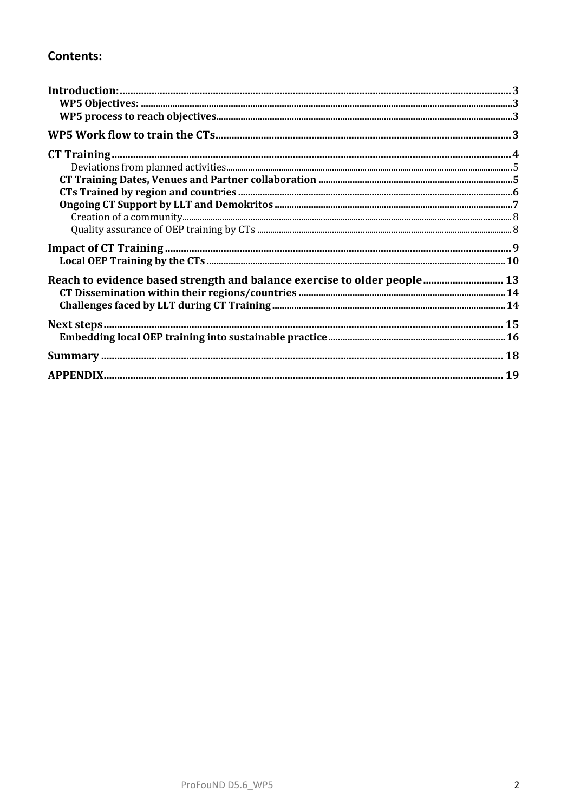## **Contents:**

| $\begin{minipage}[c]{0.9\linewidth} \textbf{C} \textbf{relation of a community} \textbf{.} \end{minipage} \begin{minipage}[c]{0.9\linewidth} \textbf{C} \textbf{relation of a community} \textbf{.} \end{minipage} \begin{minipage}[c]{0.9\linewidth} \textbf{C} \textbf{relation of a community} \textbf{.} \end{minipage} \begin{minipage}[c]{0.9\linewidth} \textbf{C} \textbf{relation of a community} \textbf{.} \end{minipage} \begin{minipage}[c]{0.9\linewidth} \textbf{C} \textbf{relation of a community} \textbf{.} \end{minipage} \begin{minip$ |  |
|-------------------------------------------------------------------------------------------------------------------------------------------------------------------------------------------------------------------------------------------------------------------------------------------------------------------------------------------------------------------------------------------------------------------------------------------------------------------------------------------------------------------------------------------------------------|--|
|                                                                                                                                                                                                                                                                                                                                                                                                                                                                                                                                                             |  |
|                                                                                                                                                                                                                                                                                                                                                                                                                                                                                                                                                             |  |
|                                                                                                                                                                                                                                                                                                                                                                                                                                                                                                                                                             |  |
| Reach to evidence based strength and balance exercise to older people 13                                                                                                                                                                                                                                                                                                                                                                                                                                                                                    |  |
|                                                                                                                                                                                                                                                                                                                                                                                                                                                                                                                                                             |  |
|                                                                                                                                                                                                                                                                                                                                                                                                                                                                                                                                                             |  |
|                                                                                                                                                                                                                                                                                                                                                                                                                                                                                                                                                             |  |
|                                                                                                                                                                                                                                                                                                                                                                                                                                                                                                                                                             |  |
|                                                                                                                                                                                                                                                                                                                                                                                                                                                                                                                                                             |  |
|                                                                                                                                                                                                                                                                                                                                                                                                                                                                                                                                                             |  |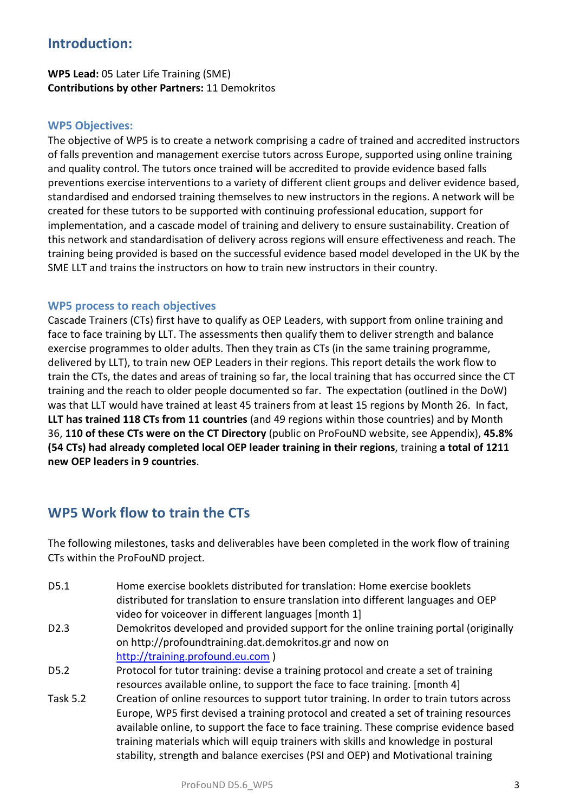## **Introduction:**

## **WP5 Lead:** 05 Later Life Training (SME) **Contributions by other Partners:** 11 Demokritos

#### **WP5 Objectives:**

The objective of WP5 is to create a network comprising a cadre of trained and accredited instructors of falls prevention and management exercise tutors across Europe, supported using online training and quality control. The tutors once trained will be accredited to provide evidence based falls preventions exercise interventions to a variety of different client groups and deliver evidence based, standardised and endorsed training themselves to new instructors in the regions. A network will be created for these tutors to be supported with continuing professional education, support for implementation, and a cascade model of training and delivery to ensure sustainability. Creation of this network and standardisation of delivery across regions will ensure effectiveness and reach. The training being provided is based on the successful evidence based model developed in the UK by the SME LLT and trains the instructors on how to train new instructors in their country.

#### **WP5 process to reach objectives**

Cascade Trainers (CTs) first have to qualify as OEP Leaders, with support from online training and face to face training by LLT. The assessments then qualify them to deliver strength and balance exercise programmes to older adults. Then they train as CTs (in the same training programme, delivered by LLT), to train new OEP Leaders in their regions. This report details the work flow to train the CTs, the dates and areas of training so far, the local training that has occurred since the CT training and the reach to older people documented so far. The expectation (outlined in the DoW) was that LLT would have trained at least 45 trainers from at least 15 regions by Month 26. In fact, **LLT has trained 118 CTs from 11 countries** (and 49 regions within those countries) and by Month 36, **110 of these CTs were on the CT Directory** (public on ProFouND website, see Appendix), **45.8% (54 CTs) had already completed local OEP leader training in their regions**, training **a total of 1211 new OEP leaders in 9 countries**.

## **WP5 Work flow to train the CTs**

The following milestones, tasks and deliverables have been completed in the work flow of training CTs within the ProFouND project.

- D5.1 Home exercise booklets distributed for translation: Home exercise booklets distributed for translation to ensure translation into different languages and OEP video for voiceover in different languages [month 1]
- D2.3 Demokritos developed and provided support for the online training portal (originally on [http://profoundtraining.dat.demokritos.gr](http://profoundtraining.dat.demokritos.gr/) and now on [http://training.profound.eu.com](http://training.profound.eu.com/) )
- D5.2 Protocol for tutor training: devise a training protocol and create a set of training resources available online, to support the face to face training. [month 4]
- Task 5.2 Creation of online resources to support tutor training. In order to train tutors across Europe, WP5 first devised a training protocol and created a set of training resources available online, to support the face to face training. These comprise evidence based training materials which will equip trainers with skills and knowledge in postural stability, strength and balance exercises (PSI and OEP) and Motivational training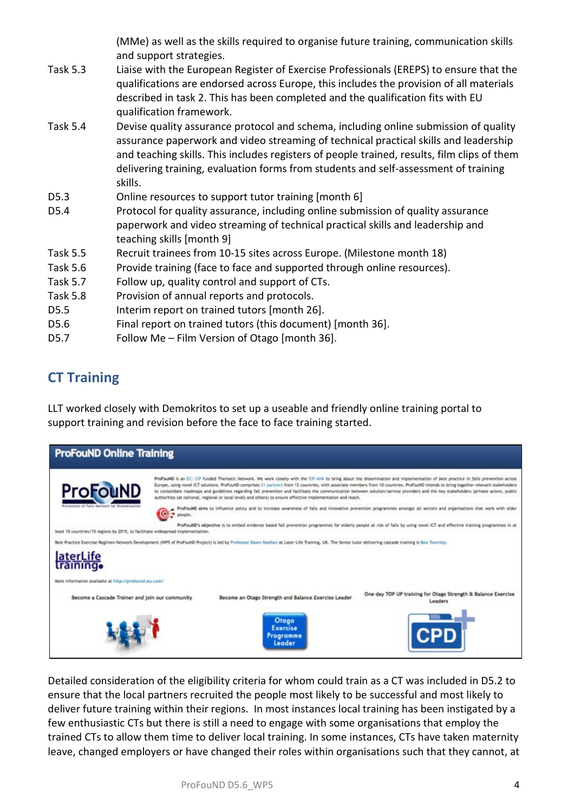(MMe) as well as the skills required to organise future training, communication skills and support strategies.

- Task 5.3 Liaise with the European Register of Exercise Professionals (EREPS) to ensure that the qualifications are endorsed across Europe, this includes the provision of all materials described in task 2. This has been completed and the qualification fits with EU qualification framework.
- Task 5.4 Devise quality assurance protocol and schema, including online submission of quality assurance paperwork and video streaming of technical practical skills and leadership and teaching skills. This includes registers of people trained, results, film clips of them delivering training, evaluation forms from students and self-assessment of training skills.
- D5.3 Online resources to support tutor training [month 6]
- D5.4 Protocol for quality assurance, including online submission of quality assurance paperwork and video streaming of technical practical skills and leadership and teaching skills [month 9]
- Task 5.5 Recruit trainees from 10-15 sites across Europe. (Milestone month 18)
- Task 5.6 Provide training (face to face and supported through online resources).
- Task 5.7 Follow up, quality control and support of CTs.
- Task 5.8 Provision of annual reports and protocols.
- D5.5 Interim report on trained tutors [month 26].
- D5.6 Final report on trained tutors (this document) [month 36].
- D5.7 Follow Me Film Version of Otago [month 36].

## **CT Training**

LLT worked closely with Demokritos to set up a useable and friendly online training portal to support training and revision before the face to face training started.



Detailed consideration of the eligibility criteria for whom could train as a CT was included in D5.2 to ensure that the local partners recruited the people most likely to be successful and most likely to deliver future training within their regions. In most instances local training has been instigated by a few enthusiastic CTs but there is still a need to engage with some organisations that employ the trained CTs to allow them time to deliver local training. In some instances, CTs have taken maternity leave, changed employers or have changed their roles within organisations such that they cannot, at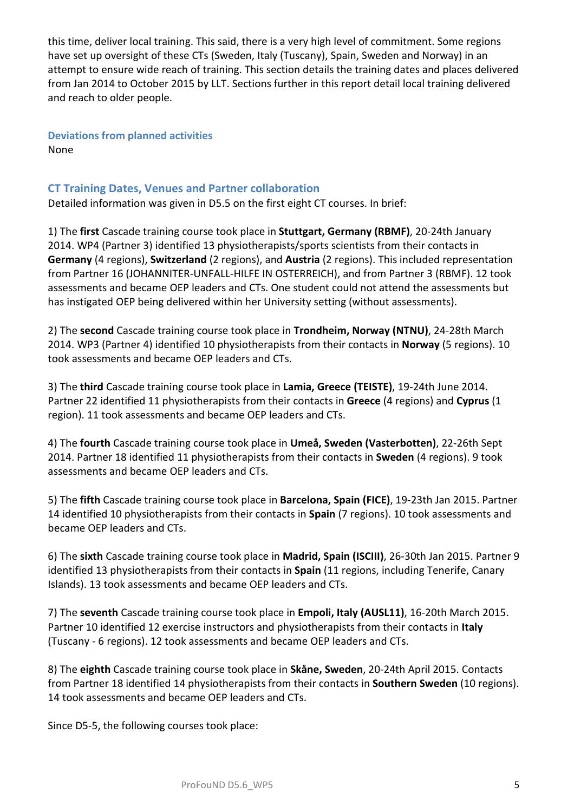this time, deliver local training. This said, there is a very high level of commitment. Some regions have set up oversight of these CTs (Sweden, Italy (Tuscany), Spain, Sweden and Norway) in an attempt to ensure wide reach of training. This section details the training dates and places delivered from Jan 2014 to October 2015 by LLT. Sections further in this report detail local training delivered and reach to older people.

**Deviations from planned activities** None

### **CT Training Dates, Venues and Partner collaboration**

Detailed information was given in D5.5 on the first eight CT courses. In brief:

1) The **first** Cascade training course took place in **Stuttgart, Germany (RBMF)**, 20-24th January 2014. WP4 (Partner 3) identified 13 physiotherapists/sports scientists from their contacts in **Germany** (4 regions), **Switzerland** (2 regions), and **Austria** (2 regions). This included representation from Partner 16 (JOHANNITER-UNFALL-HILFE IN OSTERREICH), and from Partner 3 (RBMF). 12 took assessments and became OEP leaders and CTs. One student could not attend the assessments but has instigated OEP being delivered within her University setting (without assessments).

2) The **second** Cascade training course took place in **Trondheim, Norway (NTNU)**, 24-28th March 2014. WP3 (Partner 4) identified 10 physiotherapists from their contacts in **Norway** (5 regions). 10 took assessments and became OEP leaders and CTs.

3) The **third** Cascade training course took place in **Lamia, Greece (TEISTE)**, 19-24th June 2014. Partner 22 identified 11 physiotherapists from their contacts in **Greece** (4 regions) and **Cyprus** (1 region). 11 took assessments and became OEP leaders and CTs.

4) The **fourth** Cascade training course took place in **Umeå, Sweden (Vasterbotten)**, 22-26th Sept 2014. Partner 18 identified 11 physiotherapists from their contacts in **Sweden** (4 regions). 9 took assessments and became OEP leaders and CTs.

5) The **fifth** Cascade training course took place in **Barcelona, Spain (FICE)**, 19-23th Jan 2015. Partner 14 identified 10 physiotherapists from their contacts in **Spain** (7 regions). 10 took assessments and became OEP leaders and CTs.

6) The **sixth** Cascade training course took place in **Madrid, Spain (ISCIII)**, 26-30th Jan 2015. Partner 9 identified 13 physiotherapists from their contacts in **Spain** (11 regions, including Tenerife, Canary Islands). 13 took assessments and became OEP leaders and CTs.

7) The **seventh** Cascade training course took place in **Empoli, Italy (AUSL11)**, 16-20th March 2015. Partner 10 identified 12 exercise instructors and physiotherapists from their contacts in **Italy**  (Tuscany - 6 regions). 12 took assessments and became OEP leaders and CTs.

8) The **eighth** Cascade training course took place in **Skåne, Sweden**, 20-24th April 2015. Contacts from Partner 18 identified 14 physiotherapists from their contacts in **Southern Sweden** (10 regions). 14 took assessments and became OEP leaders and CTs.

Since D5-5, the following courses took place: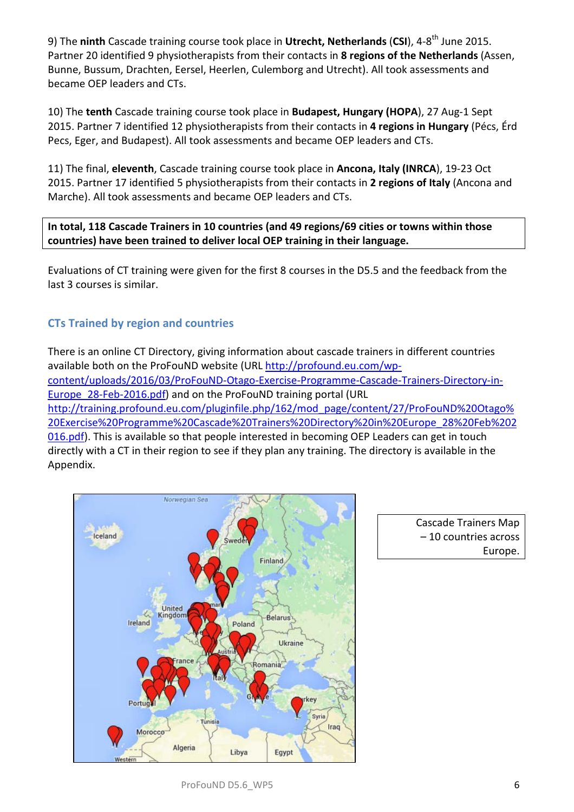9) The ninth Cascade training course took place in Utrecht, Netherlands (CSI), 4-8<sup>th</sup> June 2015. Partner 20 identified 9 physiotherapists from their contacts in **8 regions of the Netherlands** (Assen, Bunne, Bussum, Drachten, Eersel, Heerlen, Culemborg and Utrecht). All took assessments and became OEP leaders and CTs.

10) The **tenth** Cascade training course took place in **Budapest, Hungary (HOPA**), 27 Aug-1 Sept 2015. Partner 7 identified 12 physiotherapists from their contacts in **4 regions in Hungary** (Pécs, Érd Pecs, Eger, and Budapest). All took assessments and became OEP leaders and CTs.

11) The final, **eleventh**, Cascade training course took place in **Ancona, Italy (INRCA**), 19-23 Oct 2015. Partner 17 identified 5 physiotherapists from their contacts in **2 regions of Italy** (Ancona and Marche). All took assessments and became OEP leaders and CTs.

**In total, 118 Cascade Trainers in 10 countries (and 49 regions/69 cities or towns within those countries) have been trained to deliver local OEP training in their language.**

Evaluations of CT training were given for the first 8 courses in the D5.5 and the feedback from the last 3 courses is similar.

## **CTs Trained by region and countries**

There is an online CT Directory, giving information about cascade trainers in different countries available both on the ProFouND website (URL [http://profound.eu.com/wp](http://profound.eu.com/wp-content/uploads/2016/03/ProFouND-Otago-Exercise-Programme-Cascade-Trainers-Directory-in-Europe_28-Feb-2016.pdf)[content/uploads/2016/03/ProFouND-Otago-Exercise-Programme-Cascade-Trainers-Directory-in-](http://profound.eu.com/wp-content/uploads/2016/03/ProFouND-Otago-Exercise-Programme-Cascade-Trainers-Directory-in-Europe_28-Feb-2016.pdf)[Europe\\_28-Feb-2016.pdf\)](http://profound.eu.com/wp-content/uploads/2016/03/ProFouND-Otago-Exercise-Programme-Cascade-Trainers-Directory-in-Europe_28-Feb-2016.pdf) and on the ProFouND training portal (URL [http://training.profound.eu.com/pluginfile.php/162/mod\\_page/content/27/ProFouND%20Otago%](http://training.profound.eu.com/pluginfile.php/162/mod_page/content/27/ProFouND%20Otago%20Exercise%20Programme%20Cascade%20Trainers%20Directory%20in%20Europe_28%20Feb%202016.pdf) [20Exercise%20Programme%20Cascade%20Trainers%20Directory%20in%20Europe\\_28%20Feb%202](http://training.profound.eu.com/pluginfile.php/162/mod_page/content/27/ProFouND%20Otago%20Exercise%20Programme%20Cascade%20Trainers%20Directory%20in%20Europe_28%20Feb%202016.pdf) [016.pdf\)](http://training.profound.eu.com/pluginfile.php/162/mod_page/content/27/ProFouND%20Otago%20Exercise%20Programme%20Cascade%20Trainers%20Directory%20in%20Europe_28%20Feb%202016.pdf). This is available so that people interested in becoming OEP Leaders can get in touch directly with a CT in their region to see if they plan any training. The directory is available in the Appendix.



Cascade Trainers Map – 10 countries across Europe.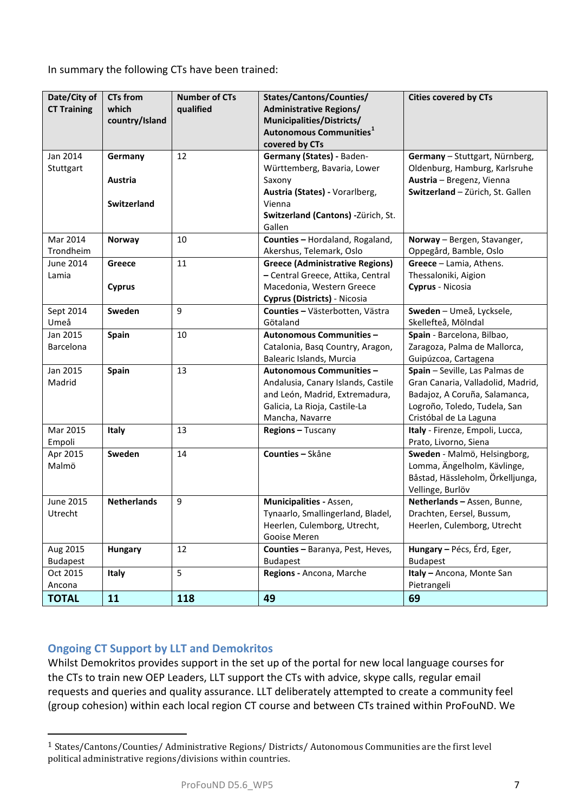In summary the following CTs have been trained:

| Date/City of<br><b>CT Training</b> | <b>CTs from</b><br>which<br>country/Island | <b>Number of CTs</b><br>qualified | States/Cantons/Counties/<br><b>Administrative Regions/</b><br>Municipalities/Districts/<br>Autonomous Communities <sup>1</sup><br>covered by CTs               | <b>Cities covered by CTs</b>                                                                                                                                   |
|------------------------------------|--------------------------------------------|-----------------------------------|----------------------------------------------------------------------------------------------------------------------------------------------------------------|----------------------------------------------------------------------------------------------------------------------------------------------------------------|
| Jan 2014<br>Stuttgart              | Germany<br>Austria<br><b>Switzerland</b>   | 12                                | Germany (States) - Baden-<br>Württemberg, Bavaria, Lower<br>Saxony<br>Austria (States) - Vorarlberg,<br>Vienna<br>Switzerland (Cantons) -Zürich, St.<br>Gallen | Germany - Stuttgart, Nürnberg,<br>Oldenburg, Hamburg, Karlsruhe<br>Austria - Bregenz, Vienna<br>Switzerland - Zürich, St. Gallen                               |
| Mar 2014<br>Trondheim              | <b>Norway</b>                              | 10                                | Counties - Hordaland, Rogaland,<br>Akershus, Telemark, Oslo                                                                                                    | Norway - Bergen, Stavanger,<br>Oppegård, Bamble, Oslo                                                                                                          |
| <b>June 2014</b><br>Lamia          | Greece<br><b>Cyprus</b>                    | 11                                | <b>Greece (Administrative Regions)</b><br>- Central Greece, Attika, Central<br>Macedonia, Western Greece<br>Cyprus (Districts) - Nicosia                       | Greece - Lamia, Athens.<br>Thessaloniki, Aigion<br>Cyprus - Nicosia                                                                                            |
| Sept 2014<br>Umeå                  | Sweden                                     | 9                                 | Counties - Västerbotten, Västra<br>Götaland                                                                                                                    | Sweden - Umeå, Lycksele,<br>Skellefteå, Mölndal                                                                                                                |
| Jan 2015<br>Barcelona              | Spain                                      | 10                                | <b>Autonomous Communities -</b><br>Catalonia, Basq Country, Aragon,<br>Balearic Islands, Murcia                                                                | Spain - Barcelona, Bilbao,<br>Zaragoza, Palma de Mallorca,<br>Guipúzcoa, Cartagena                                                                             |
| Jan 2015<br>Madrid                 | Spain                                      | 13                                | <b>Autonomous Communities -</b><br>Andalusia, Canary Islands, Castile<br>and León, Madrid, Extremadura,<br>Galicia, La Rioja, Castile-La<br>Mancha, Navarre    | Spain - Seville, Las Palmas de<br>Gran Canaria, Valladolid, Madrid,<br>Badajoz, A Coruña, Salamanca,<br>Logroño, Toledo, Tudela, San<br>Cristóbal de La Laguna |
| Mar 2015<br>Empoli                 | <b>Italy</b>                               | 13                                | Regions - Tuscany                                                                                                                                              | Italy - Firenze, Empoli, Lucca,<br>Prato, Livorno, Siena                                                                                                       |
| Apr 2015<br>Malmö                  | Sweden                                     | 14                                | Counties - Skåne                                                                                                                                               | Sweden - Malmö, Helsingborg,<br>Lomma, Ängelholm, Kävlinge,<br>Båstad, Hässleholm, Örkelljunga,<br>Vellinge, Burlöv                                            |
| June 2015<br>Utrecht               | <b>Netherlands</b>                         | 9                                 | Municipalities - Assen,<br>Tynaarlo, Smallingerland, Bladel,<br>Heerlen, Culemborg, Utrecht,<br>Gooise Meren                                                   | Netherlands - Assen, Bunne,<br>Drachten, Eersel, Bussum,<br>Heerlen, Culemborg, Utrecht                                                                        |
| Aug 2015<br><b>Budapest</b>        | <b>Hungary</b>                             | 12                                | Counties - Baranya, Pest, Heves,<br><b>Budapest</b>                                                                                                            | Hungary - Pécs, Érd, Eger,<br><b>Budapest</b>                                                                                                                  |
| Oct 2015<br>Ancona                 | Italy                                      | 5                                 | Regions - Ancona, Marche                                                                                                                                       | Italy - Ancona, Monte San<br>Pietrangeli                                                                                                                       |
| <b>TOTAL</b>                       | 11                                         | 118                               | 49                                                                                                                                                             | 69                                                                                                                                                             |

## **Ongoing CT Support by LLT and Demokritos**

Whilst Demokritos provides support in the set up of the portal for new local language courses for the CTs to train new OEP Leaders, LLT support the CTs with advice, skype calls, regular email requests and queries and quality assurance. LLT deliberately attempted to create a community feel (group cohesion) within each local region CT course and between CTs trained within ProFouND. We

<span id="page-6-0"></span><sup>1</sup> States/Cantons/Counties/ Administrative Regions/ Districts/ Autonomous Communities are the first level political administrative regions/divisions within countries. j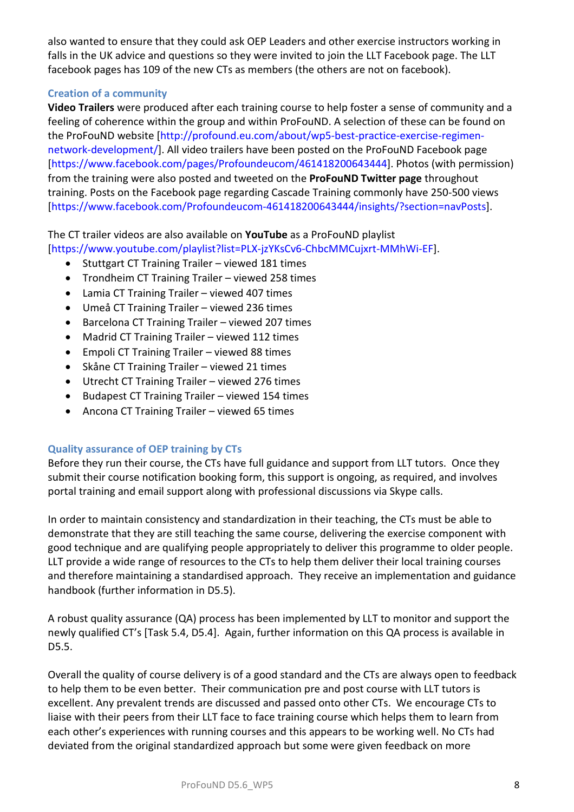also wanted to ensure that they could ask OEP Leaders and other exercise instructors working in falls in the UK advice and questions so they were invited to join the LLT Facebook page. The LLT facebook pages has 109 of the new CTs as members (the others are not on facebook).

### **Creation of a community**

**Video Trailers** were produced after each training course to help foster a sense of community and a feeling of coherence within the group and within ProFouND. A selection of these can be found on the ProFouND website [http://profound.eu.com/about/wp5-best-practice-exercise-regimennetwork-development/]. All video trailers have been posted on the ProFouND Facebook page [https://www.facebook.com/pages/Profoundeucom/461418200643444]. Photos (with permission) from the training were also posted and tweeted on the **ProFouND Twitter page** throughout training. Posts on the Facebook page regarding Cascade Training commonly have 250-500 views [https://www.facebook.com/Profoundeucom-461418200643444/insights/?section=navPosts].

The CT trailer videos are also available on **YouTube** as a ProFouND playlist

[https://www.youtube.com/playlist?list=PLX-jzYKsCv6-ChbcMMCujxrt-MMhWi-EF].

- Stuttgart CT Training Trailer viewed 181 times
- Trondheim CT Training Trailer viewed 258 times
- Lamia CT Training Trailer viewed 407 times
- Umeå CT Training Trailer viewed 236 times
- Barcelona CT Training Trailer viewed 207 times
- Madrid CT Training Trailer viewed 112 times
- Empoli CT Training Trailer viewed 88 times
- Skåne CT Training Trailer viewed 21 times
- Utrecht CT Training Trailer viewed 276 times
- Budapest CT Training Trailer viewed 154 times
- Ancona CT Training Trailer viewed 65 times

## **Quality assurance of OEP training by CTs**

Before they run their course, the CTs have full guidance and support from LLT tutors. Once they submit their course notification booking form, this support is ongoing, as required, and involves portal training and email support along with professional discussions via Skype calls.

In order to maintain consistency and standardization in their teaching, the CTs must be able to demonstrate that they are still teaching the same course, delivering the exercise component with good technique and are qualifying people appropriately to deliver this programme to older people. LLT provide a wide range of resources to the CTs to help them deliver their local training courses and therefore maintaining a standardised approach. They receive an implementation and guidance handbook (further information in D5.5).

A robust quality assurance (QA) process has been implemented by LLT to monitor and support the newly qualified CT's [Task 5.4, D5.4]. Again, further information on this QA process is available in D5.5.

Overall the quality of course delivery is of a good standard and the CTs are always open to feedback to help them to be even better. Their communication pre and post course with LLT tutors is excellent. Any prevalent trends are discussed and passed onto other CTs. We encourage CTs to liaise with their peers from their LLT face to face training course which helps them to learn from each other's experiences with running courses and this appears to be working well. No CTs had deviated from the original standardized approach but some were given feedback on more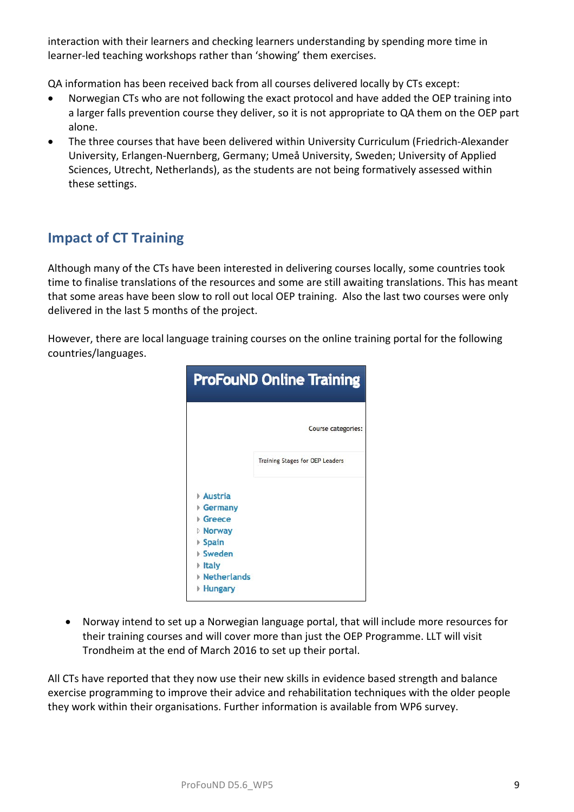interaction with their learners and checking learners understanding by spending more time in learner-led teaching workshops rather than 'showing' them exercises.

QA information has been received back from all courses delivered locally by CTs except:

- Norwegian CTs who are not following the exact protocol and have added the OEP training into a larger falls prevention course they deliver, so it is not appropriate to QA them on the OEP part alone.
- The three courses that have been delivered within University Curriculum (Friedrich-Alexander University, Erlangen-Nuernberg, Germany; Umeå University, Sweden; University of Applied Sciences, Utrecht, Netherlands), as the students are not being formatively assessed within these settings.

## **Impact of CT Training**

Although many of the CTs have been interested in delivering courses locally, some countries took time to finalise translations of the resources and some are still awaiting translations. This has meant that some areas have been slow to roll out local OEP training. Also the last two courses were only delivered in the last 5 months of the project.

However, there are local language training courses on the online training portal for the following countries/languages.



• Norway intend to set up a Norwegian language portal, that will include more resources for their training courses and will cover more than just the OEP Programme. LLT will visit Trondheim at the end of March 2016 to set up their portal.

All CTs have reported that they now use their new skills in evidence based strength and balance exercise programming to improve their advice and rehabilitation techniques with the older people they work within their organisations. Further information is available from WP6 survey.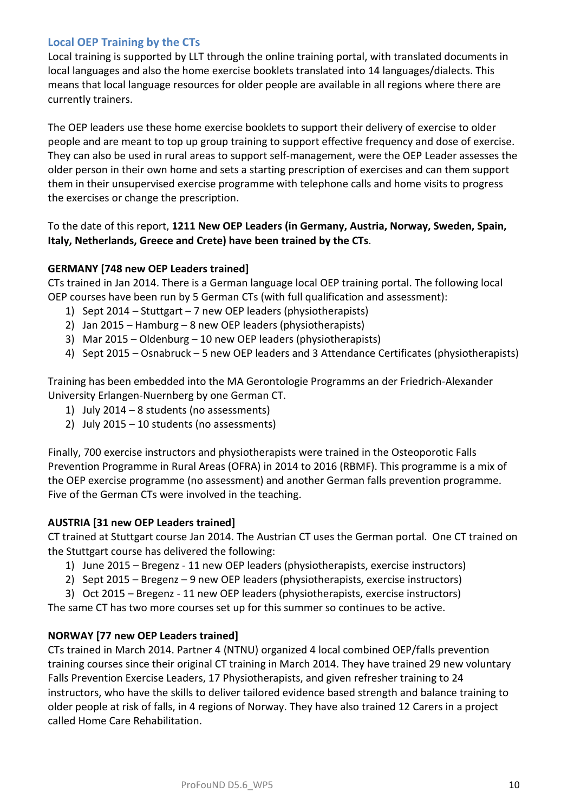### **Local OEP Training by the CTs**

Local training is supported by LLT through the online training portal, with translated documents in local languages and also the home exercise booklets translated into 14 languages/dialects. This means that local language resources for older people are available in all regions where there are currently trainers.

The OEP leaders use these home exercise booklets to support their delivery of exercise to older people and are meant to top up group training to support effective frequency and dose of exercise. They can also be used in rural areas to support self-management, were the OEP Leader assesses the older person in their own home and sets a starting prescription of exercises and can them support them in their unsupervised exercise programme with telephone calls and home visits to progress the exercises or change the prescription.

To the date of this report, **1211 New OEP Leaders (in Germany, Austria, Norway, Sweden, Spain, Italy, Netherlands, Greece and Crete) have been trained by the CTs**.

#### **GERMANY [748 new OEP Leaders trained]**

CTs trained in Jan 2014. There is a German language local OEP training portal. The following local OEP courses have been run by 5 German CTs (with full qualification and assessment):

- 1) Sept 2014 Stuttgart 7 new OEP leaders (physiotherapists)
- 2) Jan 2015 Hamburg 8 new OEP leaders (physiotherapists)
- 3) Mar 2015 Oldenburg 10 new OEP leaders (physiotherapists)
- 4) Sept 2015 Osnabruck 5 new OEP leaders and 3 Attendance Certificates (physiotherapists)

Training has been embedded into the MA Gerontologie Programms an der Friedrich-Alexander University Erlangen-Nuernberg by one German CT.

- 1) July 2014 8 students (no assessments)
- 2) July 2015 10 students (no assessments)

Finally, 700 exercise instructors and physiotherapists were trained in the Osteoporotic Falls Prevention Programme in Rural Areas (OFRA) in 2014 to 2016 (RBMF). This programme is a mix of the OEP exercise programme (no assessment) and another German falls prevention programme. Five of the German CTs were involved in the teaching.

### **AUSTRIA [31 new OEP Leaders trained]**

CT trained at Stuttgart course Jan 2014. The Austrian CT uses the German portal. One CT trained on the Stuttgart course has delivered the following:

- 1) June 2015 Bregenz 11 new OEP leaders (physiotherapists, exercise instructors)
- 2) Sept 2015 Bregenz 9 new OEP leaders (physiotherapists, exercise instructors)

3) Oct 2015 – Bregenz - 11 new OEP leaders (physiotherapists, exercise instructors)

The same CT has two more courses set up for this summer so continues to be active.

### **NORWAY [77 new OEP Leaders trained]**

CTs trained in March 2014. Partner 4 (NTNU) organized 4 local combined OEP/falls prevention training courses since their original CT training in March 2014. They have trained 29 new voluntary Falls Prevention Exercise Leaders, 17 Physiotherapists, and given refresher training to 24 instructors, who have the skills to deliver tailored evidence based strength and balance training to older people at risk of falls, in 4 regions of Norway. They have also trained 12 Carers in a project called Home Care Rehabilitation.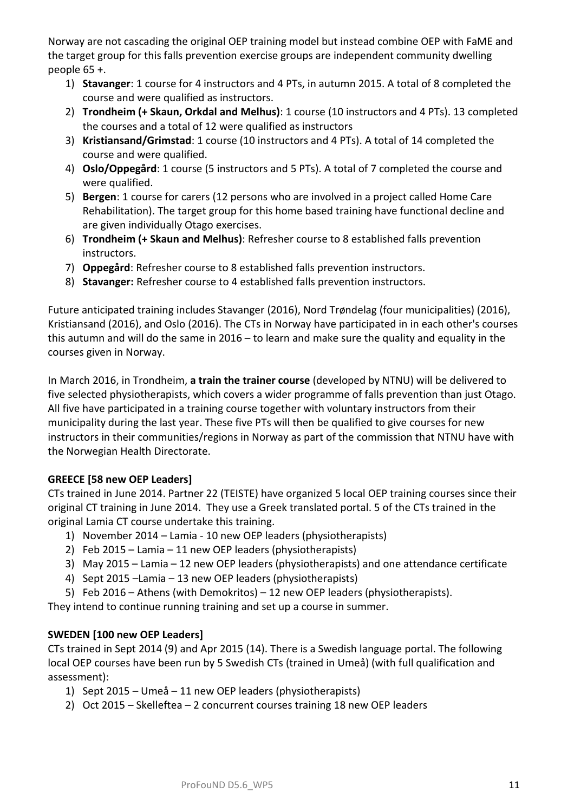Norway are not cascading the original OEP training model but instead combine OEP with FaME and the target group for this falls prevention exercise groups are independent community dwelling people 65 +.

- 1) **Stavanger**: 1 course for 4 instructors and 4 PTs, in autumn 2015. A total of 8 completed the course and were qualified as instructors.
- 2) **Trondheim (+ Skaun, Orkdal and Melhus)**: 1 course (10 instructors and 4 PTs). 13 completed the courses and a total of 12 were qualified as instructors
- 3) **Kristiansand/Grimstad**: 1 course (10 instructors and 4 PTs). A total of 14 completed the course and were qualified.
- 4) **Oslo/Oppegård**: 1 course (5 instructors and 5 PTs). A total of 7 completed the course and were qualified.
- 5) **Bergen**: 1 course for carers (12 persons who are involved in a project called Home Care Rehabilitation). The target group for this home based training have functional decline and are given individually Otago exercises.
- 6) **Trondheim (+ Skaun and Melhus)**: Refresher course to 8 established falls prevention instructors.
- 7) **Oppegård**: Refresher course to 8 established falls prevention instructors.
- 8) **Stavanger:** Refresher course to 4 established falls prevention instructors.

Future anticipated training includes Stavanger (2016), Nord Trøndelag (four municipalities) (2016), Kristiansand (2016), and Oslo (2016). The CTs in Norway have participated in in each other's courses this autumn and will do the same in 2016 – to learn and make sure the quality and equality in the courses given in Norway.

In March 2016, in Trondheim, **a train the trainer course** (developed by NTNU) will be delivered to five selected physiotherapists, which covers a wider programme of falls prevention than just Otago. All five have participated in a training course together with voluntary instructors from their municipality during the last year. These five PTs will then be qualified to give courses for new instructors in their communities/regions in Norway as part of the commission that NTNU have with the Norwegian Health Directorate.

## **GREECE [58 new OEP Leaders]**

CTs trained in June 2014. Partner 22 (TEISTE) have organized 5 local OEP training courses since their original CT training in June 2014. They use a Greek translated portal. 5 of the CTs trained in the original Lamia CT course undertake this training.

- 1) November 2014 Lamia 10 new OEP leaders (physiotherapists)
- 2) Feb 2015 Lamia 11 new OEP leaders (physiotherapists)
- 3) May 2015 Lamia 12 new OEP leaders (physiotherapists) and one attendance certificate
- 4) Sept 2015 –Lamia 13 new OEP leaders (physiotherapists)
- 5) Feb 2016 Athens (with Demokritos) 12 new OEP leaders (physiotherapists).

They intend to continue running training and set up a course in summer.

## **SWEDEN [100 new OEP Leaders]**

CTs trained in Sept 2014 (9) and Apr 2015 (14). There is a Swedish language portal. The following local OEP courses have been run by 5 Swedish CTs (trained in Umeå) (with full qualification and assessment):

- 1) Sept 2015 Umeå 11 new OEP leaders (physiotherapists)
- 2) Oct 2015 Skelleftea 2 concurrent courses training 18 new OEP leaders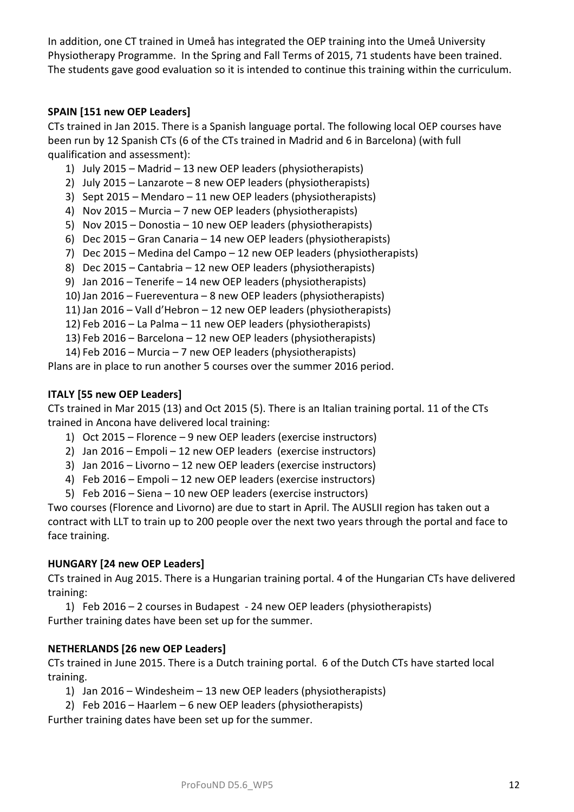In addition, one CT trained in Umeå has integrated the OEP training into the Umeå University Physiotherapy Programme. In the Spring and Fall Terms of 2015, 71 students have been trained. The students gave good evaluation so it is intended to continue this training within the curriculum.

### **SPAIN [151 new OEP Leaders]**

CTs trained in Jan 2015. There is a Spanish language portal. The following local OEP courses have been run by 12 Spanish CTs (6 of the CTs trained in Madrid and 6 in Barcelona) (with full qualification and assessment):

- 1) July 2015 Madrid 13 new OEP leaders (physiotherapists)
- 2) July 2015 Lanzarote 8 new OEP leaders (physiotherapists)
- 3) Sept 2015 Mendaro 11 new OEP leaders (physiotherapists)
- 4) Nov 2015 Murcia 7 new OEP leaders (physiotherapists)
- 5) Nov 2015 Donostia 10 new OEP leaders (physiotherapists)
- 6) Dec 2015 Gran Canaria 14 new OEP leaders (physiotherapists)
- 7) Dec 2015 Medina del Campo 12 new OEP leaders (physiotherapists)
- 8) Dec 2015 Cantabria 12 new OEP leaders (physiotherapists)
- 9) Jan 2016 Tenerife 14 new OEP leaders (physiotherapists)
- 10) Jan 2016 Fuereventura 8 new OEP leaders (physiotherapists)
- 11) Jan 2016 Vall d'Hebron 12 new OEP leaders (physiotherapists)
- 12) Feb 2016 La Palma 11 new OEP leaders (physiotherapists)
- 13) Feb 2016 Barcelona 12 new OEP leaders (physiotherapists)
- 14) Feb 2016 Murcia 7 new OEP leaders (physiotherapists)

Plans are in place to run another 5 courses over the summer 2016 period.

#### **ITALY [55 new OEP Leaders]**

CTs trained in Mar 2015 (13) and Oct 2015 (5). There is an Italian training portal. 11 of the CTs trained in Ancona have delivered local training:

- 1) Oct 2015 Florence 9 new OEP leaders (exercise instructors)
- 2) Jan 2016 Empoli 12 new OEP leaders (exercise instructors)
- 3) Jan 2016 Livorno 12 new OEP leaders (exercise instructors)
- 4) Feb 2016 Empoli 12 new OEP leaders (exercise instructors)
- 5) Feb 2016 Siena 10 new OEP leaders (exercise instructors)

Two courses (Florence and Livorno) are due to start in April. The AUSLII region has taken out a contract with LLT to train up to 200 people over the next two years through the portal and face to face training.

#### **HUNGARY [24 new OEP Leaders]**

CTs trained in Aug 2015. There is a Hungarian training portal. 4 of the Hungarian CTs have delivered training:

1) Feb 2016 – 2 courses in Budapest - 24 new OEP leaders (physiotherapists) Further training dates have been set up for the summer.

### **NETHERLANDS [26 new OEP Leaders]**

CTs trained in June 2015. There is a Dutch training portal. 6 of the Dutch CTs have started local training.

- 1) Jan 2016 Windesheim 13 new OEP leaders (physiotherapists)
- 2) Feb 2016 Haarlem 6 new OEP leaders (physiotherapists)

Further training dates have been set up for the summer.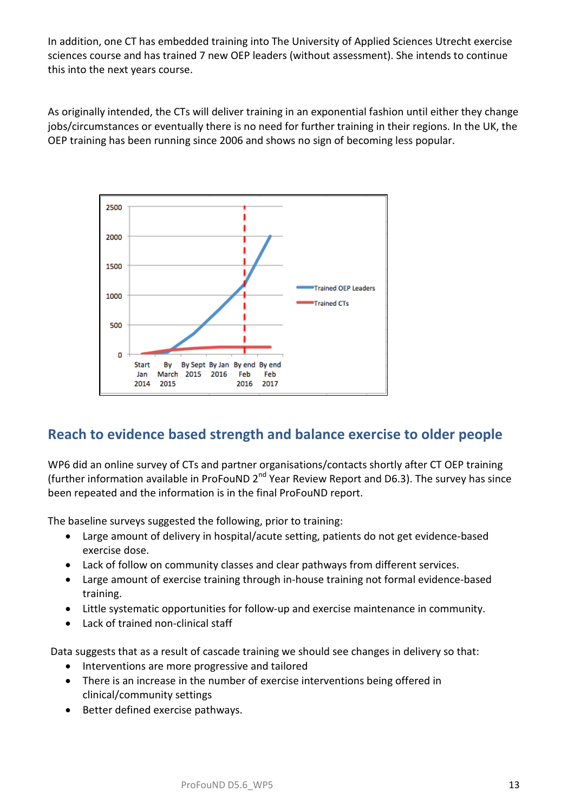In addition, one CT has embedded training into The University of Applied Sciences Utrecht exercise sciences course and has trained 7 new OEP leaders (without assessment). She intends to continue this into the next years course.

As originally intended, the CTs will deliver training in an exponential fashion until either they change jobs/circumstances or eventually there is no need for further training in their regions. In the UK, the OEP training has been running since 2006 and shows no sign of becoming less popular.



## **Reach to evidence based strength and balance exercise to older people**

WP6 did an online survey of CTs and partner organisations/contacts shortly after CT OEP training (further information available in ProFouND  $2^{nd}$  Year Review Report and D6.3). The survey has since been repeated and the information is in the final ProFouND report.

The baseline surveys suggested the following, prior to training:

- Large amount of delivery in hospital/acute setting, patients do not get evidence-based exercise dose.
- Lack of follow on community classes and clear pathways from different services.
- Large amount of exercise training through in-house training not formal evidence-based training.
- Little systematic opportunities for follow-up and exercise maintenance in community.
- Lack of trained non-clinical staff

Data suggests that as a result of cascade training we should see changes in delivery so that:

- Interventions are more progressive and tailored
- There is an increase in the number of exercise interventions being offered in clinical/community settings
- Better defined exercise pathways.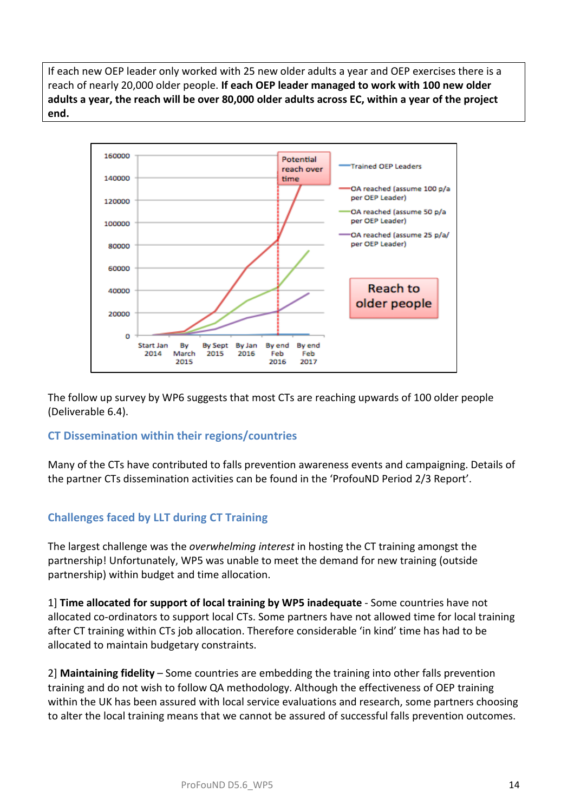If each new OEP leader only worked with 25 new older adults a year and OEP exercises there is a reach of nearly 20,000 older people. **If each OEP leader managed to work with 100 new older adults a year, the reach will be over 80,000 older adults across EC, within a year of the project end.**



The follow up survey by WP6 suggests that most CTs are reaching upwards of 100 older people (Deliverable 6.4).

## **CT Dissemination within their regions/countries**

Many of the CTs have contributed to falls prevention awareness events and campaigning. Details of the partner CTs dissemination activities can be found in the 'ProfouND Period 2/3 Report'.

## **Challenges faced by LLT during CT Training**

The largest challenge was the *overwhelming interest* in hosting the CT training amongst the partnership! Unfortunately, WP5 was unable to meet the demand for new training (outside partnership) within budget and time allocation.

1] **Time allocated for support of local training by WP5 inadequate** - Some countries have not allocated co-ordinators to support local CTs. Some partners have not allowed time for local training after CT training within CTs job allocation. Therefore considerable 'in kind' time has had to be allocated to maintain budgetary constraints.

2] **Maintaining fidelity** – Some countries are embedding the training into other falls prevention training and do not wish to follow QA methodology. Although the effectiveness of OEP training within the UK has been assured with local service evaluations and research, some partners choosing to alter the local training means that we cannot be assured of successful falls prevention outcomes.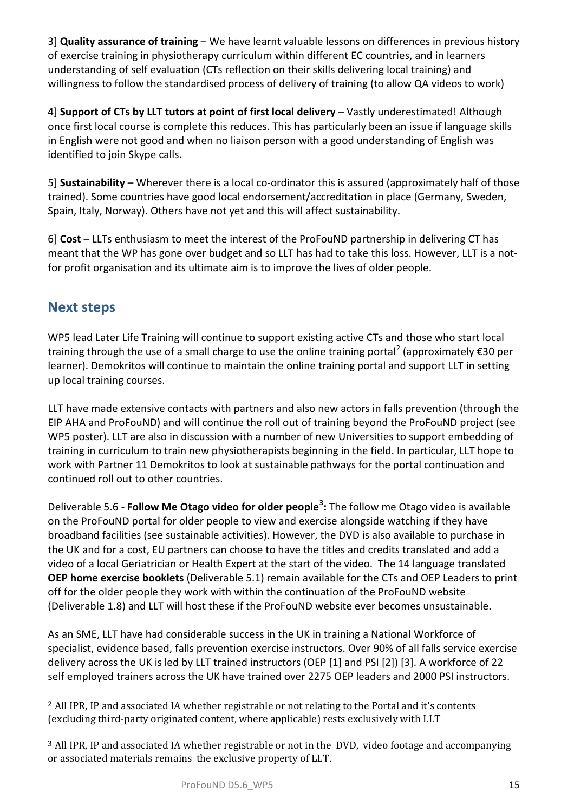3] **Quality assurance of training** – We have learnt valuable lessons on differences in previous history of exercise training in physiotherapy curriculum within different EC countries, and in learners understanding of self evaluation (CTs reflection on their skills delivering local training) and willingness to follow the standardised process of delivery of training (to allow QA videos to work)

4] **Support of CTs by LLT tutors at point of first local delivery** – Vastly underestimated! Although once first local course is complete this reduces. This has particularly been an issue if language skills in English were not good and when no liaison person with a good understanding of English was identified to join Skype calls.

5] **Sustainability** – Wherever there is a local co-ordinator this is assured (approximately half of those trained). Some countries have good local endorsement/accreditation in place (Germany, Sweden, Spain, Italy, Norway). Others have not yet and this will affect sustainability.

6] **Cost** – LLTs enthusiasm to meet the interest of the ProFouND partnership in delivering CT has meant that the WP has gone over budget and so LLT has had to take this loss. However, LLT is a notfor profit organisation and its ultimate aim is to improve the lives of older people.

## **Next steps**

WP5 lead Later Life Training will continue to support existing active CTs and those who start local training through the use of a small charge to use the online training portal<sup>[2](#page-14-0)</sup> (approximately  $\epsilon$ 30 per learner). Demokritos will continue to maintain the online training portal and support LLT in setting up local training courses.

LLT have made extensive contacts with partners and also new actors in falls prevention (through the EIP AHA and ProFouND) and will continue the roll out of training beyond the ProFouND project (see WP5 poster). LLT are also in discussion with a number of new Universities to support embedding of training in curriculum to train new physiotherapists beginning in the field. In particular, LLT hope to work with Partner 11 Demokritos to look at sustainable pathways for the portal continuation and continued roll out to other countries.

Deliverable 5.6 - **Follow Me Otago video for older people[3](#page-14-1) :** The follow me Otago video is available on the ProFouND portal for older people to view and exercise alongside watching if they have broadband facilities (see sustainable activities). However, the DVD is also available to purchase in the UK and for a cost, EU partners can choose to have the titles and credits translated and add a video of a local Geriatrician or Health Expert at the start of the video. The 14 language translated **OEP home exercise booklets** (Deliverable 5.1) remain available for the CTs and OEP Leaders to print off for the older people they work with within the continuation of the ProFouND website (Deliverable 1.8) and LLT will host these if the ProFouND website ever becomes unsustainable.

As an SME, LLT have had considerable success in the UK in training a National Workforce of specialist, evidence based, falls prevention exercise instructors. Over 90% of all falls service exercise delivery across the UK is led by LLT trained instructors (OEP [1] and PSI [2]) [3]. A workforce of 22 self employed trainers across the UK have trained over 2275 OEP leaders and 2000 PSI instructors.

<span id="page-14-0"></span><sup>2</sup> All IPR, IP and associated IA whether registrable or not relating to the Portal and it's contents (excluding third-party originated content, where applicable) rests exclusively with LLT i<br>I

<span id="page-14-1"></span><sup>3</sup> All IPR, IP and associated IA whether registrable or not in the DVD, video footage and accompanying or associated materials remains the exclusive property of LLT.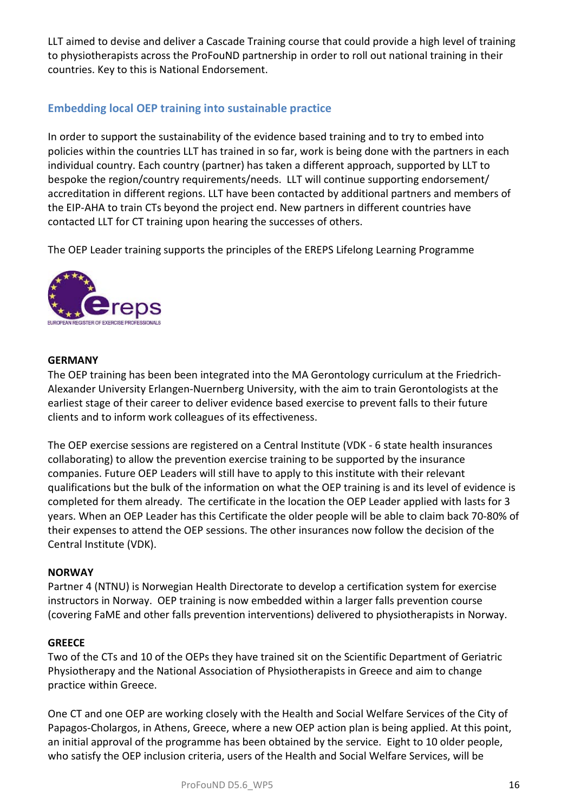LLT aimed to devise and deliver a Cascade Training course that could provide a high level of training to physiotherapists across the ProFouND partnership in order to roll out national training in their countries. Key to this is National Endorsement.

## **Embedding local OEP training into sustainable practice**

In order to support the sustainability of the evidence based training and to try to embed into policies within the countries LLT has trained in so far, work is being done with the partners in each individual country. Each country (partner) has taken a different approach, supported by LLT to bespoke the region/country requirements/needs. LLT will continue supporting endorsement/ accreditation in different regions. LLT have been contacted by additional partners and members of the EIP-AHA to train CTs beyond the project end. New partners in different countries have contacted LLT for CT training upon hearing the successes of others.

The OEP Leader training supports the principles of the EREPS Lifelong Learning Programme



#### **GERMANY**

The OEP training has been been integrated into the MA Gerontology curriculum at the Friedrich-Alexander University Erlangen-Nuernberg University, with the aim to train Gerontologists at the earliest stage of their career to deliver evidence based exercise to prevent falls to their future clients and to inform work colleagues of its effectiveness.

The OEP exercise sessions are registered on a Central Institute (VDK - 6 state health insurances collaborating) to allow the prevention exercise training to be supported by the insurance companies. Future OEP Leaders will still have to apply to this institute with their relevant qualifications but the bulk of the information on what the OEP training is and its level of evidence is completed for them already. The certificate in the location the OEP Leader applied with lasts for 3 years. When an OEP Leader has this Certificate the older people will be able to claim back 70-80% of their expenses to attend the OEP sessions. The other insurances now follow the decision of the Central Institute (VDK).

### **NORWAY**

Partner 4 (NTNU) is Norwegian Health Directorate to develop a certification system for exercise instructors in Norway. OEP training is now embedded within a larger falls prevention course (covering FaME and other falls prevention interventions) delivered to physiotherapists in Norway.

### **GREECE**

Two of the CTs and 10 of the OEPs they have trained sit on the Scientific Department of Geriatric Physiotherapy and the National Association of Physiotherapists in Greece and aim to change practice within Greece.

One CT and one OEP are working closely with the Health and Social Welfare Services of the City of Papagos-Cholargos, in Athens, Greece, where a new OEP action plan is being applied. At this point, an initial approval of the programme has been obtained by the service. Eight to 10 older people, who satisfy the OEP inclusion criteria, users of the Health and Social Welfare Services, will be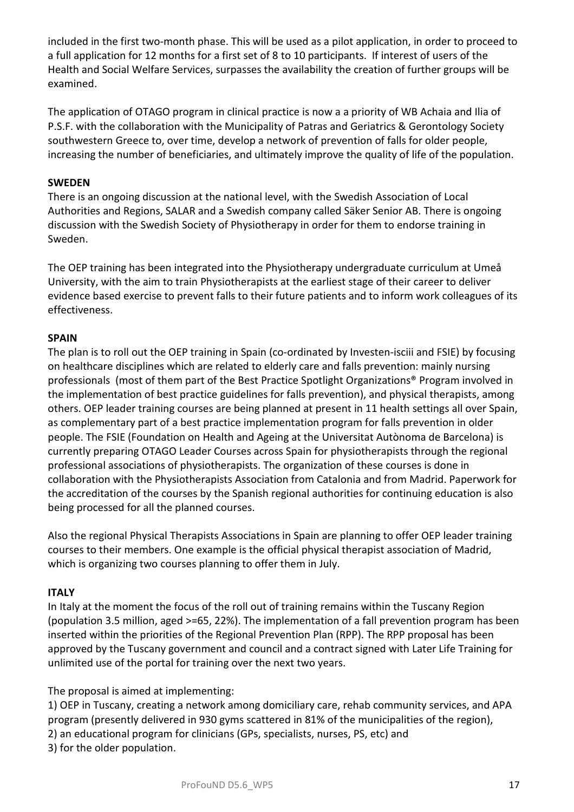included in the first two-month phase. This will be used as a pilot application, in order to proceed to a full application for 12 months for a first set of 8 to 10 participants. If interest of users of the Health and Social Welfare Services, surpasses the availability the creation of further groups will be examined.

The application of OTAGO program in clinical practice is now a a priority of WB Achaia and Ilia of P.S.F. with the collaboration with the Municipality of Patras and Geriatrics & Gerontology Society southwestern Greece to, over time, develop a network of prevention of falls for older people, increasing the number of beneficiaries, and ultimately improve the quality of life of the population.

#### **SWEDEN**

There is an ongoing discussion at the national level, with the Swedish Association of Local Authorities and Regions, SALAR and a Swedish company called Säker Senior AB. There is ongoing discussion with the Swedish Society of Physiotherapy in order for them to endorse training in Sweden.

The OEP training has been integrated into the Physiotherapy undergraduate curriculum at Umeå University, with the aim to train Physiotherapists at the earliest stage of their career to deliver evidence based exercise to prevent falls to their future patients and to inform work colleagues of its effectiveness.

#### **SPAIN**

The plan is to roll out the OEP training in Spain (co-ordinated by Investen-isciii and FSIE) by focusing on healthcare disciplines which are related to elderly care and falls prevention: mainly nursing professionals (most of them part of the Best Practice Spotlight Organizations® Program involved in the implementation of best practice guidelines for falls prevention), and physical therapists, among others. OEP leader training courses are being planned at present in 11 health settings all over Spain, as complementary part of a best practice implementation program for falls prevention in older people. The FSIE (Foundation on Health and Ageing at the Universitat Autònoma de Barcelona) is currently preparing OTAGO Leader Courses across Spain for physiotherapists through the regional professional associations of physiotherapists. The organization of these courses is done in collaboration with the Physiotherapists Association from Catalonia and from Madrid. Paperwork for the accreditation of the courses by the Spanish regional authorities for continuing education is also being processed for all the planned courses.

Also the regional Physical Therapists Associations in Spain are planning to offer OEP leader training courses to their members. One example is the official physical therapist association of Madrid, which is organizing two courses planning to offer them in July.

#### **ITALY**

In Italy at the moment the focus of the roll out of training remains within the Tuscany Region (population 3.5 million, aged >=65, 22%). The implementation of a fall prevention program has been inserted within the priorities of the Regional Prevention Plan (RPP). The RPP proposal has been approved by the Tuscany government and council and a contract signed with Later Life Training for unlimited use of the portal for training over the next two years.

The proposal is aimed at implementing:

1) OEP in Tuscany, creating a network among domiciliary care, rehab community services, and APA program (presently delivered in 930 gyms scattered in 81% of the municipalities of the region), 2) an educational program for clinicians (GPs, specialists, nurses, PS, etc) and 3) for the older population.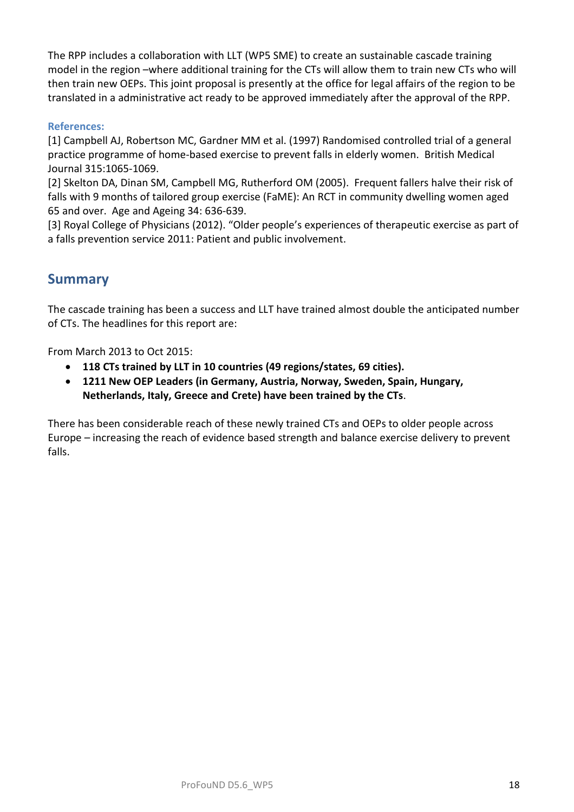The RPP includes a collaboration with LLT (WP5 SME) to create an sustainable cascade training model in the region –where additional training for the CTs will allow them to train new CTs who will then train new OEPs. This joint proposal is presently at the office for legal affairs of the region to be translated in a administrative act ready to be approved immediately after the approval of the RPP.

#### **References:**

[1] Campbell AJ, Robertson MC, Gardner MM et al. (1997) Randomised controlled trial of a general practice programme of home-based exercise to prevent falls in elderly women. British Medical Journal 315:1065-1069.

[2] Skelton DA, Dinan SM, Campbell MG, Rutherford OM (2005). Frequent fallers halve their risk of falls with 9 months of tailored group exercise (FaME): An RCT in community dwelling women aged 65 and over. Age and Ageing 34: 636-639.

[3] Royal College of Physicians (2012). "Older people's experiences of therapeutic exercise as part of a falls prevention service 2011: Patient and public involvement.

## **Summary**

The cascade training has been a success and LLT have trained almost double the anticipated number of CTs. The headlines for this report are:

From March 2013 to Oct 2015:

- **118 CTs trained by LLT in 10 countries (49 regions/states, 69 cities).**
- **1211 New OEP Leaders (in Germany, Austria, Norway, Sweden, Spain, Hungary, Netherlands, Italy, Greece and Crete) have been trained by the CTs**.

There has been considerable reach of these newly trained CTs and OEPs to older people across Europe – increasing the reach of evidence based strength and balance exercise delivery to prevent falls.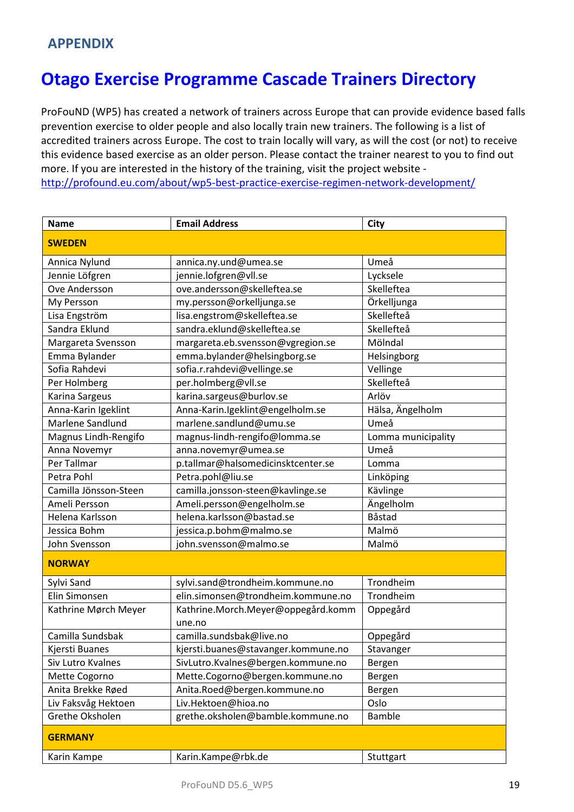# **Otago Exercise Programme Cascade Trainers Directory**

ProFouND (WP5) has created a network of trainers across Europe that can provide evidence based falls prevention exercise to older people and also locally train new trainers. The following is a list of accredited trainers across Europe. The cost to train locally will vary, as will the cost (or not) to receive this evidence based exercise as an older person. Please contact the trainer nearest to you to find out more. If you are interested in the history of the training, visit the project website <http://profound.eu.com/about/wp5-best-practice-exercise-regimen-network-development/>

| <b>Name</b>           | <b>Email Address</b>                         | <b>City</b>        |
|-----------------------|----------------------------------------------|--------------------|
| <b>SWEDEN</b>         |                                              |                    |
| Annica Nylund         | annica.ny.und@umea.se                        | Umeå               |
| Jennie Löfgren        | jennie.lofgren@vll.se                        | Lycksele           |
| Ove Andersson         | ove.andersson@skelleftea.se                  | Skelleftea         |
| My Persson            | my.persson@orkelljunga.se                    | Örkelljunga        |
| Lisa Engström         | lisa.engstrom@skelleftea.se                  | Skellefteå         |
| Sandra Eklund         | sandra.eklund@skelleftea.se                  | Skellefteå         |
| Margareta Svensson    | margareta.eb.svensson@vgregion.se            | Mölndal            |
| Emma Bylander         | emma.bylander@helsingborg.se                 | Helsingborg        |
| Sofia Rahdevi         | sofia.r.rahdevi@vellinge.se                  | Vellinge           |
| Per Holmberg          | per.holmberg@vll.se                          | Skellefteå         |
| Karina Sargeus        | karina.sargeus@burlov.se                     | Arlöv              |
| Anna-Karin Igeklint   | Anna-Karin.lgeklint@engelholm.se             | Hälsa, Ängelholm   |
| Marlene Sandlund      | marlene.sandlund@umu.se                      | Umeå               |
| Magnus Lindh-Rengifo  | magnus-lindh-rengifo@lomma.se                | Lomma municipality |
| Anna Novemyr          | anna.novemyr@umea.se                         | Umeå               |
| Per Tallmar           | p.tallmar@halsomedicinsktcenter.se           | Lomma              |
| Petra Pohl            | Petra.pohl@liu.se                            | Linköping          |
| Camilla Jönsson-Steen | camilla.jonsson-steen@kavlinge.se            | Kävlinge           |
| Ameli Persson         | Ameli.persson@engelholm.se                   | Ängelholm          |
| Helena Karlsson       | helena.karlsson@bastad.se                    | Båstad             |
| Jessica Bohm          | jessica.p.bohm@malmo.se                      | Malmö              |
| John Svensson         | john.svensson@malmo.se                       | Malmö              |
| <b>NORWAY</b>         |                                              |                    |
| Sylvi Sand            | sylvi.sand@trondheim.kommune.no              | Trondheim          |
| Elin Simonsen         | elin.simonsen@trondheim.kommune.no           | Trondheim          |
| Kathrine Mørch Meyer  | Kathrine.Morch.Meyer@oppegård.komm<br>une.no | Oppegård           |
| Camilla Sundsbak      | camilla.sundsbak@live.no                     | Oppegård           |
| Kjersti Buanes        | kjersti.buanes@stavanger.kommune.no          | Stavanger          |
| Siv Lutro Kvalnes     | SivLutro.Kvalnes@bergen.kommune.no           | Bergen             |
| Mette Cogorno         | Mette.Cogorno@bergen.kommune.no              | Bergen             |
| Anita Brekke Røed     | Anita.Roed@bergen.kommune.no                 | Bergen             |
| Liv Faksvåg Hektoen   | Liv.Hektoen@hioa.no                          | Oslo               |
| Grethe Oksholen       | grethe.oksholen@bamble.kommune.no            | Bamble             |
| <b>GERMANY</b>        |                                              |                    |
| Karin Kampe           | Karin.Kampe@rbk.de                           | Stuttgart          |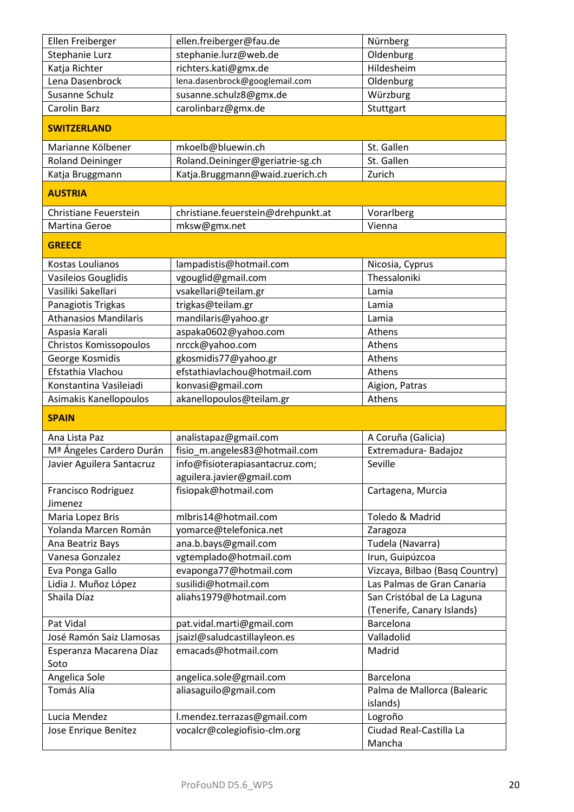| Ellen Freiberger                      | ellen.freiberger@fau.de                                     | Nürnberg                           |
|---------------------------------------|-------------------------------------------------------------|------------------------------------|
| Stephanie Lurz                        | stephanie.lurz@web.de                                       | Oldenburg                          |
| Katja Richter                         | richters.kati@gmx.de                                        | Hildesheim                         |
| Lena Dasenbrock                       | lena.dasenbrock@googlemail.com                              | Oldenburg                          |
| Susanne Schulz                        | susanne.schulz8@gmx.de                                      | Würzburg                           |
| Carolin Barz                          | carolinbarz@gmx.de                                          | Stuttgart                          |
| <b>SWITZERLAND</b>                    |                                                             |                                    |
| Marianne Kölbener                     | mkoelb@bluewin.ch                                           | St. Gallen                         |
| <b>Roland Deininger</b>               | Roland.Deininger@geriatrie-sg.ch                            | St. Gallen                         |
| Katja Bruggmann                       | Katja.Bruggmann@waid.zuerich.ch                             | Zurich                             |
| <b>AUSTRIA</b>                        |                                                             |                                    |
| Christiane Feuerstein                 | christiane.feuerstein@drehpunkt.at                          | Vorarlberg                         |
| <b>Martina Geroe</b>                  | mksw@gmx.net                                                | Vienna                             |
| <b>GREECE</b>                         |                                                             |                                    |
| Kostas Loulianos                      | lampadistis@hotmail.com                                     | Nicosia, Cyprus                    |
| Vasileios Gouglidis                   | vgouglid@gmail.com                                          | Thessaloniki                       |
| Vasiliki Sakellari                    | vsakellari@teilam.gr                                        | Lamia                              |
| Panagiotis Trigkas                    | trigkas@teilam.gr                                           | Lamia                              |
| <b>Athanasios Mandilaris</b>          | mandilaris@yahoo.gr                                         | Lamia                              |
| Aspasia Karali                        | aspaka0602@yahoo.com                                        | Athens                             |
| <b>Christos Komissopoulos</b>         | nrcck@yahoo.com                                             | Athens                             |
| George Kosmidis                       | gkosmidis77@yahoo.gr                                        | Athens                             |
| Efstathia Vlachou                     | efstathiavlachou@hotmail.com                                | Athens                             |
| Konstantina Vasileiadi                | konvasi@gmail.com                                           | Aigion, Patras                     |
| Asimakis Kanellopoulos                | akanellopoulos@teilam.gr                                    | Athens                             |
| <b>SPAIN</b>                          |                                                             |                                    |
| Ana Lista Paz                         | analistapaz@gmail.com                                       | A Coruña (Galicia)                 |
|                                       |                                                             |                                    |
| M <sup>ª</sup> Ángeles Cardero Durán  | fisio_m.angeles83@hotmail.com                               | Extremadura-Badajoz                |
| Javier Aguilera Santacruz             | info@fisioterapiasantacruz.com;                             | Seville                            |
|                                       | aguilera.javier@gmail.com                                   |                                    |
| <b>Francisco Rodriguez</b><br>Jimenez | fisiopak@hotmail.com                                        | Cartagena, Murcia                  |
| Maria Lopez Bris                      | mlbris14@hotmail.com                                        | Toledo & Madrid                    |
| Yolanda Marcen Román                  | yomarce@telefonica.net                                      | Zaragoza                           |
| Ana Beatriz Bays                      | ana.b.bays@gmail.com                                        | Tudela (Navarra)                   |
| Vanesa Gonzalez                       | vgtemplado@hotmail.com                                      | Irun, Guipúzcoa                    |
| Eva Ponga Gallo                       | evaponga77@hotmail.com                                      | Vizcaya, Bilbao (Basq Country)     |
| Lidia J. Muñoz López                  | susilidi@hotmail.com                                        | Las Palmas de Gran Canaria         |
| Shaila Díaz                           | aliahs1979@hotmail.com                                      | San Cristóbal de La Laguna         |
|                                       |                                                             | (Tenerife, Canary Islands)         |
| Pat Vidal                             | pat.vidal.marti@gmail.com                                   | Barcelona                          |
| José Ramón Saiz Llamosas              | jsaizl@saludcastillayleon.es                                | Valladolid                         |
| Esperanza Macarena Díaz<br>Soto       | emacads@hotmail.com                                         | Madrid                             |
| Angelica Sole                         | angelica.sole@gmail.com                                     | Barcelona                          |
| Tomás Alía                            | aliasaguilo@gmail.com                                       | Palma de Mallorca (Balearic        |
|                                       |                                                             | islands)                           |
| Lucia Mendez<br>Jose Enrique Benitez  | l.mendez.terrazas@gmail.com<br>vocalcr@colegiofisio-clm.org | Logroño<br>Ciudad Real-Castilla La |